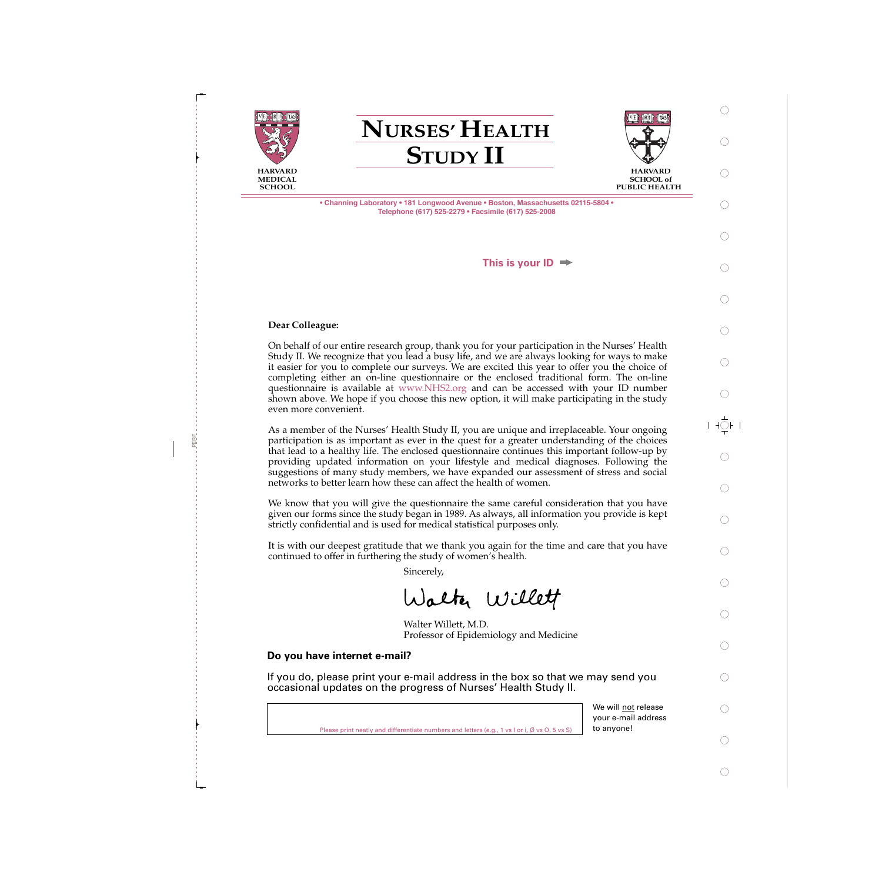

**NURSES' HEALTH STUDY II**



**SCHOOL of PUBLIC HEALTH** 

**• Channing Laboratory • 181 Longwood Avenue • Boston, Massachusetts 02115-5804 • Telephone (617) 525-2279 • Facsimile (617) 525-2008**

**This is your ID**

### **Dear Colleague:**

PERF

On behalf of our entire research group, thank you for your participation in the Nurses' Health Study II. We recognize that you lead a busy life, and we are always looking for ways to make it easier for you to complete our surveys. We are excited this year to offer you the choice of completing either an on-line questionnaire or the enclosed traditional form. The on-line questionnaire is available at www.NHS2.org and can be accessed with your ID number shown above. We hope if you choose this new option, it will make participating in the study even more convenient.

As a member of the Nurses' Health Study II, you are unique and irreplaceable. Your ongoing participation is as important as ever in the quest for a greater understanding of the choices that lead to a healthy life. The enclosed questionnaire continues this important follow-up by providing updated information on your lifestyle and medical diagnoses. Following the suggestions of many study members, we have expanded our assessment of stress and social networks to better learn how these can affect the health of women.

We know that you will give the questionnaire the same careful consideration that you have given our forms since the study began in 1989. As always, all information you provide is kept strictly confidential and is used for medical statistical purposes only.

It is with our deepest gratitude that we thank you again for the time and care that you have continued to offer in furthering the study of women's health.

Sincerely,

Walter Willett

Walter Willett, M.D. Professor of Epidemiology and Medicine

## **Do you have internet e-mail?**

If you do, please print your e-mail address in the box so that we may send you occasional updates on the progress of Nurses' Health Study II.

|                                                                                                         | your e-mai |
|---------------------------------------------------------------------------------------------------------|------------|
| Please print neatly and differentiate numbers and letters (e.g., 1 vs l or i, $\emptyset$ vs O, 5 vs S) | to anyone! |

We will not release your e-mail address

 $+$   $\bigcirc$   $+$ 

∩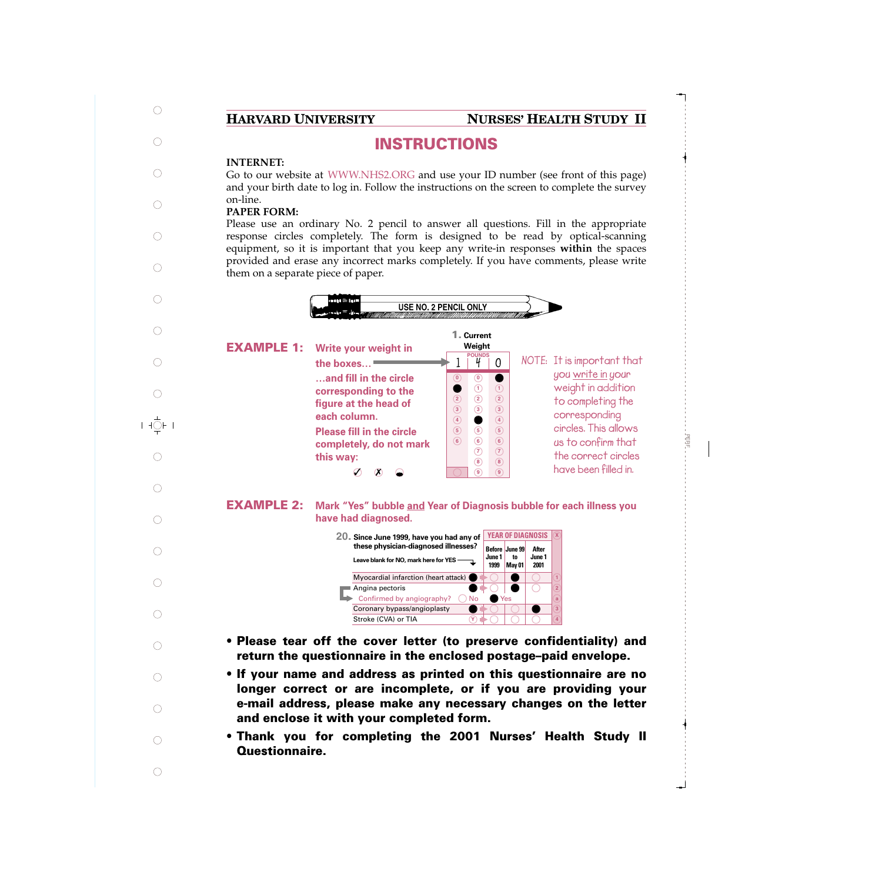## **HARVARD UNIVERSITY NURSES' HEALTH STUDY II**

PER<br>P

# **INSTRUCTIONS**

## **INTERNET:**

 $\subset$ 

 $\frac{1}{\sqrt{2}}$ F I

Go to our website at WWW.NHS2.ORG and use your ID number (see front of this page) and your birth date to log in. Follow the instructions on the screen to complete the survey on-line.

## **PAPER FORM:**

Please use an ordinary No. 2 pencil to answer all questions. Fill in the appropriate response circles completely. The form is designed to be read by optical-scanning equipment, so it is important that you keep any write-in responses **within** the spaces provided and erase any incorrect marks completely. If you have comments, please write them on a separate piece of paper.



- **Please tear off the cover letter (to preserve confidentiality) and return the questionnaire in the enclosed postage–paid envelope.**
- **If your name and address as printed on this questionnaire are no longer correct or are incomplete, or if you are providing your e-mail address, please make any necessary changes on the letter and enclose it with your completed form.**
- **Thank you for completing the 2001 Nurses' Health Study II Questionnaire.**
- $\subset$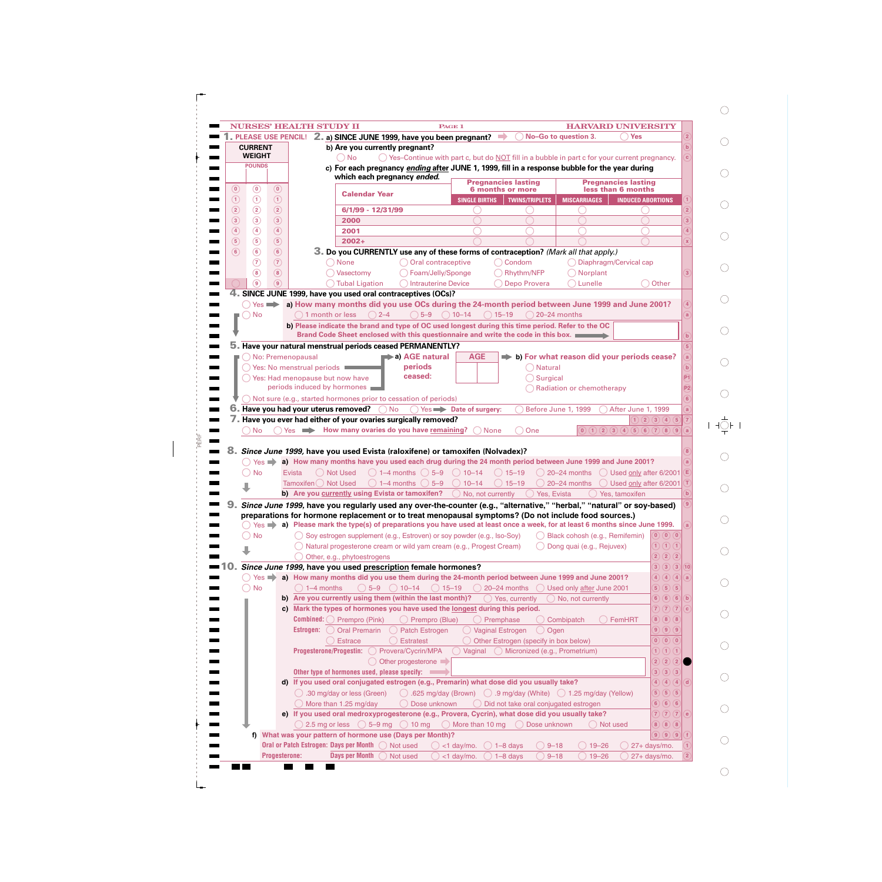| <b>PLEASE USE PENCIL!</b>                        |                           | 2. a) SINCE JUNE 1999, have you been pregnant?                                                                                                                                                                                                                                                               | No-Go to question 3.                                     | <b>Yes</b>                                                            | $\overline{2}$                                                          |
|--------------------------------------------------|---------------------------|--------------------------------------------------------------------------------------------------------------------------------------------------------------------------------------------------------------------------------------------------------------------------------------------------------------|----------------------------------------------------------|-----------------------------------------------------------------------|-------------------------------------------------------------------------|
| <b>CURRENT</b><br><b>WEIGHT</b>                  |                           | b) Are you currently pregnant?                                                                                                                                                                                                                                                                               |                                                          |                                                                       | $\mathbf{b}$                                                            |
| <b>POUNDS</b>                                    |                           | $\bigcirc$ No<br>$\bigcirc$ Yes-Continue with part c, but do NOT fill in a bubble in part c for your current pregnancy.                                                                                                                                                                                      |                                                          |                                                                       |                                                                         |
|                                                  |                           | c) For each pregnancy ending after JUNE 1, 1999, fill in a response bubble for the year during<br>which each pregnancy ended.                                                                                                                                                                                |                                                          |                                                                       |                                                                         |
|                                                  |                           | <b>Pregnancies lasting</b>                                                                                                                                                                                                                                                                                   |                                                          | <b>Pregnancies lasting</b>                                            |                                                                         |
| $\circledcirc$<br>(0)                            | $\circledcirc$            | <b>6 months or more</b><br><b>Calendar Year</b>                                                                                                                                                                                                                                                              |                                                          | less than 6 months                                                    |                                                                         |
| $\odot$<br>$\odot$                               | $\odot$                   | <b>SINGLE BIRTHS</b><br><b>TWINS/TRIPLETS</b>                                                                                                                                                                                                                                                                | <b>MISCARRIAGES</b>                                      | <b>INDUCED ABORTIONS</b>                                              |                                                                         |
| $\circled{2}$<br>$\circled{2}$                   | $\circled{2}$             | 6/1/99 - 12/31/99                                                                                                                                                                                                                                                                                            |                                                          |                                                                       |                                                                         |
| $\circled{3}$<br>$\circled{3}$                   | $\circled{3}$             | 2000                                                                                                                                                                                                                                                                                                         |                                                          |                                                                       |                                                                         |
| $\circled{4}$<br>$\circled{4}$                   | $\circled{4}$             | 2001                                                                                                                                                                                                                                                                                                         |                                                          |                                                                       |                                                                         |
| $\circled{s}$<br>$\circled{5}$<br>$\binom{6}{ }$ | $\circled{5}$             | $2002 +$                                                                                                                                                                                                                                                                                                     |                                                          |                                                                       |                                                                         |
| $\circledcirc$<br>$\circledR$                    | $\circledcirc$<br>$\odot$ | 3. Do you CURRENTLY use any of these forms of contraception? (Mark all that apply.)                                                                                                                                                                                                                          |                                                          |                                                                       |                                                                         |
| $\circledast$                                    | $\circledast$             | Oral contraceptive<br>None<br>() Condom                                                                                                                                                                                                                                                                      |                                                          | Diaphragm/Cervical cap                                                |                                                                         |
| (၅)                                              | $\boxed{9}$               | Foam/Jelly/Sponge<br>◯ Rhythm/NFP<br>Vasectomy<br>Depo Provera<br>Intrauterine Device                                                                                                                                                                                                                        | Norplant<br>Lunelle                                      |                                                                       | 3<br>Other                                                              |
|                                                  |                           | <b>Tubal Ligation</b><br>4. SINCE JUNE 1999, have you used oral contraceptives (OCs)?                                                                                                                                                                                                                        |                                                          |                                                                       |                                                                         |
| $()$ Yes $\Rightarrow$                           |                           | a) How many months did you use OCs during the 24-month period between June 1999 and June 2001?                                                                                                                                                                                                               |                                                          |                                                                       |                                                                         |
| ◯ No                                             |                           | $\bigcirc$ 5-9<br>$\bigcirc$ 10-14<br>1 month or less<br>$\bigcirc$ 2-4<br>$() 15 - 19$                                                                                                                                                                                                                      | $( ) 20 - 24$ months                                     |                                                                       | a                                                                       |
|                                                  |                           | b) Please indicate the brand and type of OC used longest during this time period. Refer to the OC                                                                                                                                                                                                            |                                                          |                                                                       |                                                                         |
|                                                  |                           | Brand Code Sheet enclosed with this questionnaire and write the code in this box.                                                                                                                                                                                                                            |                                                          |                                                                       | $\mathbf b$                                                             |
|                                                  |                           | Have your natural menstrual periods ceased PERMANENTLY?                                                                                                                                                                                                                                                      |                                                          |                                                                       |                                                                         |
|                                                  |                           | a) AGE natural<br>No: Premenopausal<br><b>AGE</b>                                                                                                                                                                                                                                                            | $\Rightarrow$ b) For what reason did your periods cease? |                                                                       | a <sub>l</sub>                                                          |
|                                                  |                           | periods<br>◯ Yes: No menstrual periods ■                                                                                                                                                                                                                                                                     | Natural                                                  |                                                                       | $\mathbf{b}$                                                            |
|                                                  |                           | ceased:<br>◯ Yes: Had menopause but now have                                                                                                                                                                                                                                                                 | Surgical                                                 |                                                                       | P1                                                                      |
|                                                  |                           | periods induced by hormones                                                                                                                                                                                                                                                                                  | Radiation or chemotherapy                                |                                                                       | P <sub>2</sub>                                                          |
|                                                  |                           | $\bigcirc$ Not sure (e.g., started hormones prior to cessation of periods)                                                                                                                                                                                                                                   |                                                          |                                                                       |                                                                         |
|                                                  |                           |                                                                                                                                                                                                                                                                                                              |                                                          |                                                                       |                                                                         |
|                                                  |                           | <b>No</b>                                                                                                                                                                                                                                                                                                    |                                                          | After June 1, 1999                                                    |                                                                         |
| <b>No</b>                                        |                           | Have you had your uterus removed?<br>$() Yes \rightarrow$ Date of surgery:<br>Have you ever had either of your ovaries surgically removed?<br>How many ovaries do you have remaining?<br><b>None</b><br>One<br>$Yes \implies$<br>Since June 1999, have you used Evista (raloxifene) or tamoxifen (Nolvadex)? | Before June 1, 1999                                      | $\begin{pmatrix} 0 & 1 & 2 & 3 & 4 & 5 & 6 & 7 & 8 & 9 \end{pmatrix}$ | $\overline{7}$<br>1)(2)(3)(4)(5)<br>$\bf{8}$                            |
| $Yes \implies$<br><b>No</b>                      |                           | a) How many months have you used each drug during the 24 month period between June 1999 and June 2001?<br><b>Not Used</b><br>$\bigcap$ 1–4 months $\bigcap$ 5–9 $\bigcap$ 10–14<br>$\bigcirc$ 15-19<br>Evista                                                                                                | ◯ 20-24 months ◯ Used only after 6/2001                  |                                                                       | a<br>Е)                                                                 |
|                                                  |                           | Tamoxifen () Not Used<br>$\bigcirc$ 1–4 months $\bigcirc$ 5–9<br>$10 - 14$<br>$\bigcirc$ 15-19                                                                                                                                                                                                               | $\bigcirc$ 20–24 months                                  | Used only after 6/2001                                                | b                                                                       |
|                                                  |                           | b) Are you currently using Evista or tamoxifen?<br>No, not currently                                                                                                                                                                                                                                         | Yes, Evista                                              | Yes, tamoxifen                                                        |                                                                         |
|                                                  |                           | Since June 1999, have you regularly used any over-the-counter (e.g., "alternative," "herbal," "natural" or soy-based)                                                                                                                                                                                        |                                                          |                                                                       |                                                                         |
|                                                  |                           | preparations for hormone replacement or to treat menopausal symptoms? (Do not include food sources.)                                                                                                                                                                                                         |                                                          |                                                                       | a                                                                       |
| <b>No</b>                                        |                           | $Yes \Rightarrow a)$ Please mark the type(s) of preparations you have used at least once a week, for at least 6 months since June 1999.                                                                                                                                                                      | Black cohosh (e.g., Remifemin)                           |                                                                       | $\left(\mathbf{0}\right)\left(\mathbf{0}\right)\left(\mathbf{0}\right)$ |
|                                                  |                           | ◯ Soy estrogen supplement (e.g., Estroven) or soy powder (e.g., Iso-Soy)<br>Natural progesterone cream or wild yam cream (e.g., Progest Cream)                                                                                                                                                               | Dong quai (e.g., Rejuvex)                                |                                                                       | 1) (1) (1)                                                              |
|                                                  |                           | Other, e.g., phytoestrogens                                                                                                                                                                                                                                                                                  |                                                          |                                                                       | $\overline{2})$<br>$\circled{2}$<br>(2)                                 |
|                                                  |                           | Since June 1999, have you used prescription female hormones?                                                                                                                                                                                                                                                 |                                                          |                                                                       | $\left( 3\right)$<br>$\mathbf{3}$<br>$\left( 3\right)$<br>10            |
|                                                  |                           | $\bigcirc$ Yes $\blacktriangleright$ a) How many months did you use them during the 24-month period between June 1999 and June 2001?                                                                                                                                                                         |                                                          |                                                                       | $\overline{4}$<br>(4)<br>(4)<br>a                                       |
| <b>No</b>                                        |                           | $\bigcirc$ 15-19<br>$\bigcirc$ 20–24 months $\bigcirc$ Used only after June 2001<br>$\bigcap$ 1–4 months<br>$\bigcirc$ 5-9 $\bigcirc$ 10-14                                                                                                                                                                  |                                                          |                                                                       | $\overline{5}$<br>(5)<br>(5)                                            |
|                                                  |                           | b) Are you currently using them (within the last month)?<br>$\bigcirc$ Yes, currently                                                                                                                                                                                                                        | No, not currently                                        |                                                                       | $\left( 6\right)$<br>6 <sup>2</sup><br>(6)<br>$\mathbf{b}$              |
|                                                  |                           | c) Mark the types of hormones you have used the longest during this period.                                                                                                                                                                                                                                  |                                                          |                                                                       | (7)(7)<br>$\overline{7}$<br>$\mathbf{C}$                                |
|                                                  |                           | <b>Combined:</b> $\bigcirc$ Prempro (Pink)<br>◯ Prempro (Blue)<br>$\bigcirc$ Premphase                                                                                                                                                                                                                       | ◯ Combipatch                                             | $\bigcirc$ FemHRT                                                     | $\bf{8}$<br>(8)(8)                                                      |
|                                                  |                           | <b>Estrogen:</b> $\bigcirc$ Oral Premarin<br>◯ Vaginal Estrogen<br>$\left(\begin{array}{c} \end{array}\right)$<br>Patch Estrogen                                                                                                                                                                             | Ogen                                                     |                                                                       | $\circled{9}$<br>$\overline{9}$                                         |
|                                                  |                           | <b>Estratest</b><br>O Other Estrogen (specify in box below)<br><b>Estrace</b>                                                                                                                                                                                                                                |                                                          |                                                                       | (0)(0)<br>$\mathbf{0}$                                                  |
|                                                  |                           | Vaginal Micronized (e.g., Prometrium)<br><b>Progesterone/Progestin:</b><br>Provera/Cycrin/MPA                                                                                                                                                                                                                |                                                          |                                                                       | $\left( \mathbf{1}\right)$<br>1)                                        |
|                                                  |                           | Other progesterone                                                                                                                                                                                                                                                                                           |                                                          |                                                                       | $\left( 2\right)$<br>$\mathbf{2}^{\prime}$<br>$\left( 2\right)$         |
|                                                  |                           | Other type of hormones used, please specify:                                                                                                                                                                                                                                                                 |                                                          |                                                                       | $\boxed{3}$<br>$\circled{3}$<br>$\left(3\right)$                        |
|                                                  |                           | d) If you used oral conjugated estrogen (e.g., Premarin) what dose did you usually take?                                                                                                                                                                                                                     |                                                          |                                                                       | $\overline{4}$<br>$\left( 4\right)$<br>(4)<br>$\overline{d}$            |
|                                                  |                           | $\circ$ .625 mg/day (Brown) $\circ$ .9 mg/day (White) $\circ$ 1.25 mg/day (Yellow)<br>$\bigcirc$ .30 mg/day or less (Green)                                                                                                                                                                                  |                                                          |                                                                       | $\overline{5}$<br>$\binom{5}{ }$<br>(5)                                 |
|                                                  |                           | $\bigcirc$ More than 1.25 mg/day<br>◯ Dose unknown<br>◯ Did not take oral conjugated estrogen                                                                                                                                                                                                                |                                                          |                                                                       | $\circledast$<br>6 <sup>2</sup><br>(6)                                  |
|                                                  |                           | e) If you used oral medroxyprogesterone (e.g., Provera, Cycrin), what dose did you usually take?                                                                                                                                                                                                             |                                                          |                                                                       | $\overline{7})$<br>$\left(7\right)\left(7\right)$<br>e                  |
|                                                  |                           | $\bigcirc$ 2.5 mg or less $\bigcirc$ 5–9 mg $\bigcirc$ 10 mg $\bigcirc$ More than 10 mg $\bigcirc$ Dose unknown                                                                                                                                                                                              | ◯ Not used                                               |                                                                       | (8)(8)<br>$\boxed{8}$                                                   |
|                                                  |                           | What was your pattern of hormone use (Days per Month)?                                                                                                                                                                                                                                                       |                                                          |                                                                       | $(\mathbf{9})\mathbf{9}$<br>$\boxed{9}$                                 |

PERF

 $\begin{array}{c} \hline \end{array}$ 

 $\bigcirc$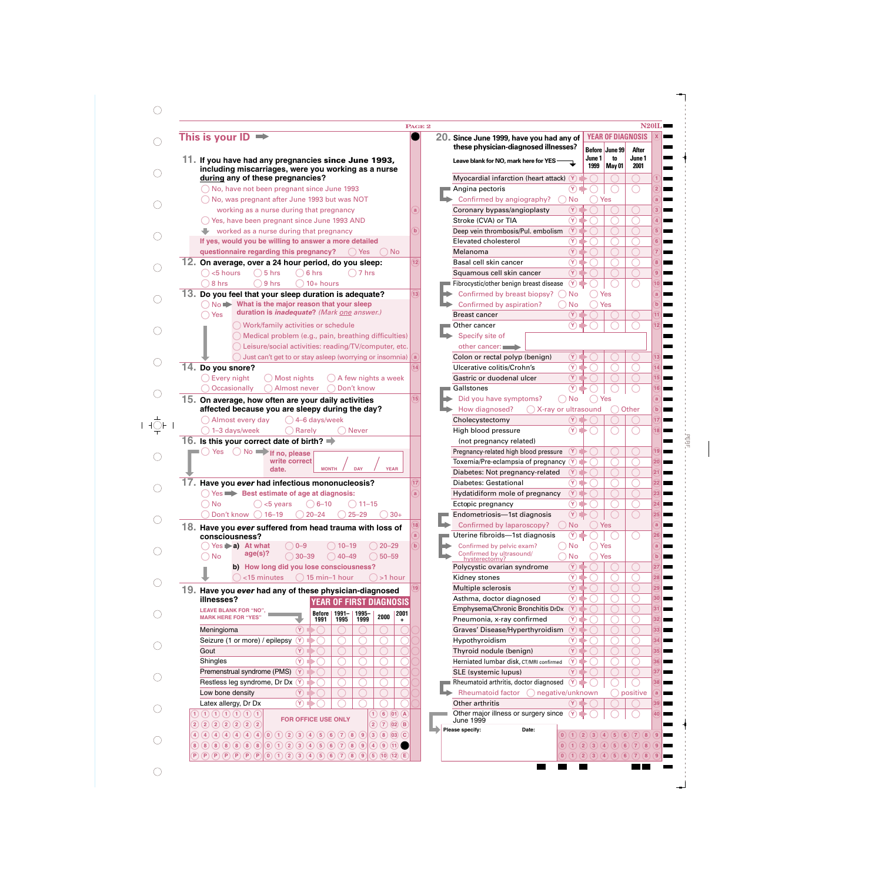|                                                                                                                                                                | PAGE <sub>2</sub> |
|----------------------------------------------------------------------------------------------------------------------------------------------------------------|-------------------|
| This is your $ID \rightarrow$                                                                                                                                  |                   |
| 11. If you have had any pregnancies since June 1993,<br>including miscarriages, were you working as a nurse                                                    |                   |
| during any of these pregnancies?                                                                                                                               |                   |
| No, have not been pregnant since June 1993<br>No, was pregnant after June 1993 but was NOT                                                                     |                   |
| working as a nurse during that pregnancy                                                                                                                       | $\mathbf{a}$      |
| () Yes, have been pregnant since June 1993 AND                                                                                                                 |                   |
| $\blacktriangleright$ worked as a nurse during that pregnancy                                                                                                  | $\mathbf{b}$      |
| If yes, would you be willing to answer a more detailed                                                                                                         |                   |
| questionnaire regarding this pregnancy?<br><b>No</b><br><b>Yes</b>                                                                                             |                   |
| 12. On average, over a 24 hour period, do you sleep:                                                                                                           | 12)               |
| <5 hours<br>5 hrs<br>6 hrs<br>7 hrs                                                                                                                            |                   |
| 8 hrs<br>9 hrs<br>$10+$ hours                                                                                                                                  |                   |
| 13.<br>Do you feel that your sleep duration is adequate?                                                                                                       | 13)               |
| $No \rightarrow What$ is the major reason that your sleep<br>duration is <i>inadequate</i> ? (Mark one answer.)                                                |                   |
| Yes                                                                                                                                                            |                   |
| Work/family activities or schedule<br>Medical problem (e.g., pain, breathing difficulties)                                                                     |                   |
| Leisure/social activities: reading/TV/computer, etc.                                                                                                           |                   |
| Just can't get to or stay asleep (worrying or insomnia)                                                                                                        |                   |
| 14. Do you snore?                                                                                                                                              | 14                |
| Every night<br>Most nights<br>A few nights a week                                                                                                              |                   |
| Occasionally<br>Almost never<br>Don't know                                                                                                                     |                   |
| 15. On average, how often are your daily activities                                                                                                            | 15)               |
| affected because you are sleepy during the day?                                                                                                                |                   |
| Almost every day<br>$( ) 4$ -6 days/week                                                                                                                       |                   |
| 1-3 days/week<br>Rarely<br><b>Never</b>                                                                                                                        |                   |
| 16. Is this your correct date of birth? $\Rightarrow$<br>$No =$<br>Yes                                                                                         |                   |
| If no, please<br>write correct                                                                                                                                 |                   |
| <b>YEAR</b><br>date.<br><b>MONTH</b><br>DAY                                                                                                                    |                   |
| Have you ever had infectious mononucleosis?                                                                                                                    | 17)               |
| Yes <b>Best estimate of age at diagnosis:</b>                                                                                                                  | a                 |
| <b>No</b><br>$6 - 10$<br>$11 - 15$<br><5 years                                                                                                                 |                   |
| Don't know (<br>$16 - 19$<br>$20 - 24$<br>$25 - 29$<br>$30+$                                                                                                   |                   |
| 18. Have you ever suffered from head trauma with loss of                                                                                                       | 18<br>a           |
| consciousness?<br>$Yes \triangleright a)$ At what<br>$10 - 19$<br>$20 - 29$<br>$0 - 9$                                                                         | $\mathbf{b}$      |
| age(s)?<br><b>No</b><br>$30 - 39$<br>$(40 - 49)$<br>$50 - 59$                                                                                                  |                   |
| b) How long did you lose consciousness?                                                                                                                        |                   |
| 15 min-1 hour<br><15 minutes<br>>1 hour                                                                                                                        |                   |
| 19. Have you ever had any of these physician-diagnosed                                                                                                         | 19)               |
| illnesses?<br><b>YEAR OF FIRST DIAGNOSIS</b>                                                                                                                   |                   |
| <b>LEAVE BLANK FOR "NO",</b><br><b>Before</b><br>$1991 -$<br>1995-<br>2001<br>2000<br><b>MARK HERE FOR "YES"</b>                                               |                   |
| 1991<br>1995<br>1999<br>٠                                                                                                                                      |                   |
| Meningioma<br>$(\mathbf Y)$<br>Seizure (1 or more) / epilepsy<br>$(\mathsf{Y})$                                                                                |                   |
| Gout<br>$(\mathbf Y)$                                                                                                                                          |                   |
| Shingles<br>$(\mathbf{Y})$                                                                                                                                     |                   |
| Premenstrual syndrome (PMS)<br>(Y)                                                                                                                             |                   |
| Restless leg syndrome, Dr Dx (Y)                                                                                                                               |                   |
|                                                                                                                                                                |                   |
| Low bone density<br>$(\mathbf{Y})$                                                                                                                             |                   |
| Latex allergy, Dr Dx<br>$(\mathbf{Y})$                                                                                                                         |                   |
| $(6)$ (01) $(A)$<br>(1)(1)(1)(1)(1)(1)<br>1)                                                                                                                   |                   |
| FOR OFFICE USE ONLY<br>2(2)(2)(2)(2)(2)(2)<br>(2)(7)(02)(B)<br>$4)$ $4)$ $4)$ $4)$ $4)$ $4)$ $4)$<br>$(0)$ (1) (2) (3) (4) (5) (6) (7) (8) (9) (3) (8) (03) (C |                   |

 $\bigcirc$ 

| ${\bf 20}$ . Since June 1999, have you had any of<br>these physician-diagnosed illnesses? |                |                |                                | <b>YEAR OF DIAGNOSIS</b> | $\mathbf{x}$   |
|-------------------------------------------------------------------------------------------|----------------|----------------|--------------------------------|--------------------------|----------------|
| Leave blank for NO, mark here for YES                                                     |                | June 1<br>1999 | Before June 99<br>to<br>May 01 | After<br>June 1<br>2001  |                |
| Myocardial infarction (heart attack)                                                      | $(\mathbf Y)$  |                |                                |                          | 1              |
| Angina pectoris                                                                           | Y              |                |                                |                          | $\overline{2}$ |
| Confirmed by angiography?                                                                 | No             |                | Yes                            |                          | a              |
| Coronary bypass/angioplasty                                                               | Y              |                |                                |                          | 3              |
| Stroke (CVA) or TIA                                                                       | ΩY.            |                |                                |                          | 4              |
| Deep vein thrombosis/Pul. embolism                                                        | Y              |                |                                |                          | 5              |
| Elevated cholesterol                                                                      | Y              |                |                                |                          | 6              |
| Melanoma                                                                                  | Y              |                |                                |                          | 7              |
| Basal cell skin cancer                                                                    | Y              |                |                                |                          |                |
|                                                                                           |                |                |                                |                          | 8              |
| Squamous cell skin cancer                                                                 | $(\mathsf{Y})$ |                |                                |                          | 9              |
| Fibrocystic/other benign breast disease                                                   | Y)             |                |                                |                          | 10             |
| Confirmed by breast biopsy?                                                               | No             |                | Yes                            |                          | a              |
| Confirmed by aspiration?                                                                  | No             |                | Yes                            |                          | $\mathbf b$    |
| <b>Breast cancer</b>                                                                      | Υ              |                |                                |                          | 11             |
| Other cancer                                                                              | Υ              |                |                                |                          | 12             |
| Specify site of                                                                           |                |                |                                |                          |                |
| other cancer:                                                                             |                |                |                                |                          |                |
| Colon or rectal polyp (benign)                                                            | Y.             |                |                                |                          | 13             |
| Ulcerative colitis/Crohn's                                                                | (γ             |                |                                |                          | 14             |
| Gastric or duodenal ulcer                                                                 | Υ              |                |                                |                          | 15             |
| Gallstones                                                                                |                |                |                                |                          | 16             |
| Did you have symptoms?                                                                    | No             |                | Yes                            |                          | a              |
| How diagnosed?<br>X-ray or ultrasound                                                     |                |                |                                | Other                    | b              |
| Cholecystectomy                                                                           |                |                |                                |                          | 17             |
| High blood pressure                                                                       |                |                |                                |                          | 18             |
|                                                                                           |                |                |                                |                          |                |
| (not pregnancy related)                                                                   | $(\mathsf{Y})$ |                |                                |                          | 19             |
| Pregnancy-related high blood pressure                                                     |                |                |                                |                          |                |
| Toxemia/Pre-eclampsia of pregnancy                                                        | Y<br>٦         |                |                                |                          | 20             |
| Diabetes: Not pregnancy-related                                                           | Υ              |                |                                |                          | 21             |
| Diabetes: Gestational                                                                     | Y              |                |                                |                          | 22             |
| Hydatidiform mole of pregnancy                                                            | Y              |                |                                |                          | 23             |
| Ectopic pregnancy                                                                         | Υ              |                |                                |                          | 24             |
| Endometriosis—1st diagnosis                                                               | Ÿ              |                |                                |                          | (25)           |
| Confirmed by laparoscopy?                                                                 | No             |                | Yes                            |                          | a              |
| Uterine fibroids-1st diagnosis                                                            | $(\lambda)$ in |                |                                |                          | 26             |
| Confirmed by pelvic exam?                                                                 | No             |                | Yes                            |                          | a              |
| Confirmed by ultrasound/<br>hysterectomy?                                                 | No             |                | Yes                            |                          | $\mathbf b$    |
| Polycystic ovarian syndrome                                                               | Y              |                |                                |                          | 27             |
| Kidney stones                                                                             | Υ              |                |                                |                          | 28             |
| Multiple sclerosis                                                                        | Y              |                |                                |                          | 29             |
| Asthma, doctor diagnosed                                                                  | (Y             |                |                                |                          | 30             |
| Emphysema/Chronic Bronchitis DrDx                                                         | Y              |                |                                |                          | 31             |
| Pneumonia, x-ray confirmed                                                                | (Y             |                |                                |                          | 32             |
|                                                                                           | Y              |                |                                |                          |                |
| Graves' Disease/Hyperthyroidism                                                           |                |                |                                |                          | 33             |
| Hypothyroidism                                                                            | Υ              |                |                                |                          | 34             |
| Thyroid nodule (benign)                                                                   | Y              |                |                                |                          | 35             |
| Herniated lumbar disk, CT/MRI confirmed                                                   | (Y             |                |                                |                          | 36             |
| SLE (systemic lupus)                                                                      | Υ              |                |                                |                          | 37             |
| Rheumatoid arthritis, doctor diagnosed                                                    | (Υ             |                |                                |                          | 38             |
| Rheumatoid factor<br>negative/unknown                                                     |                |                |                                | positive                 | a              |
| Other arthritis                                                                           |                |                |                                |                          | 39             |
| Other major illness or surgery since                                                      | Υ              |                |                                |                          | 40             |
| June 1999<br>Please specify:<br>Date:                                                     |                |                |                                |                          |                |
|                                                                                           |                |                | (3)(4)<br>5)                   | (8)                      | 9              |

 $\blacksquare$ 

 $\blacksquare$ 

PERF

 $\blacksquare$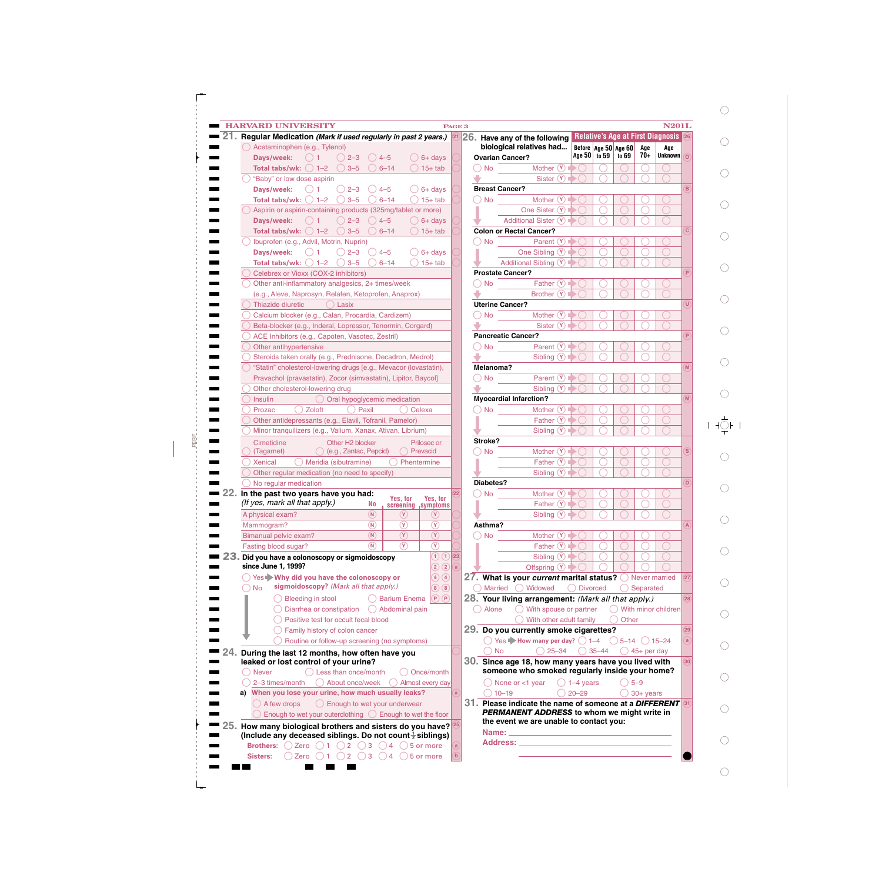| <b>HARVARD UNIVERSITY</b><br><b>N201L</b><br>PAGE 3 |
|-----------------------------------------------------|
|-----------------------------------------------------|

| <b>STATE OF BUILDING</b> | _______ |
|--------------------------|---------|
|--------------------------|---------|

 $\bigcirc$ 

 $\bigcirc$ 

 $\bigcirc$ 

 $\bigcirc$ 

 $\bigcirc$ 

 $\bigcirc$ 

 $\bigcirc$ 

 $\bigcirc$ 

 $\bigcirc$ 

 $\bigcirc$ 

 $\frac{1}{\sqrt{2}}$ 

 $\bigcirc$ 

 $\bigcirc$ 

 $\bigcirc$ 

 $\bigcirc$ 

 $\bigcirc$ 

 $\bigcirc$ 

 $\bigcirc$ 

 $\bigcirc$ 

 $\bigcirc$ 

 $\bigcirc$ 

 $\bigcirc$ 

|    | $\blacksquare$ 21. Regular Medication (Mark if used regularly in past 2 years.) 21 26. Have a                |              |                           |
|----|--------------------------------------------------------------------------------------------------------------|--------------|---------------------------|
|    | Acetaminophen (e.g., Tylenol)                                                                                |              | biologi                   |
|    | Days/week:<br>$2 - 3$<br>$4 - 5$<br>$6+$ days                                                                |              | Ovarian C                 |
|    | <b>Total tabs/wk:</b> $( ) 1-2 $<br>$3 - 5$<br>$6 - 14$<br>$15+$ tab                                         |              | <b>No</b>                 |
|    | "Baby" or low dose aspirin                                                                                   |              |                           |
|    | Days/week:<br>$2 - 3$<br>$4 - 5$<br>$6+$ days                                                                |              | <b>Breast Ca</b>          |
|    | $15+$ tab<br>Total tabs/wk:<br>$1 - 2$<br>$3 - 5$<br>$6 - 14$                                                |              | <b>No</b>                 |
|    | Aspirin or aspirin-containing products (325mg/tablet or more)                                                |              |                           |
|    | $() 2 - 3$<br>$4 - 5$<br>Davs/week:<br>$6+$ days                                                             |              |                           |
|    | $3 - 5$<br>Total tabs/wk:<br>$1 - 2$<br>$6 - 14$<br>$15+$ tab                                                |              | Colon or                  |
|    | Ibuprofen (e.g., Advil, Motrin, Nuprin)                                                                      |              | <b>No</b>                 |
|    | Days/week:<br>$2 - 3$<br>$4 - 5$<br>6+ days                                                                  |              |                           |
|    | $3 - 5$<br>$15+$ tab<br>Total tabs/wk:<br>$1 - 2$<br>$6 - 14$                                                |              |                           |
|    | Celebrex or Vioxx (COX-2 inhibitors)                                                                         |              | Prostate                  |
|    | Other anti-inflammatory analgesics, 2+ times/week                                                            |              | <b>No</b>                 |
|    | (e.g., Aleve, Naprosyn, Relafen, Ketoprofen, Anaprox)                                                        |              |                           |
|    | Thiazide diuretic<br>Lasix                                                                                   |              | Uterine C                 |
|    | Calcium blocker (e.g., Calan, Procardia, Cardizem)                                                           |              | No                        |
|    | Beta-blocker (e.g., Inderal, Lopressor, Tenormin, Corgard)                                                   |              |                           |
|    | ACE Inhibitors (e.g., Capoten, Vasotec, Zestril)                                                             |              | Pancreati                 |
|    | Other antihypertensive                                                                                       |              | No                        |
|    | Steroids taken orally (e.g., Prednisone, Decadron, Medrol)                                                   |              |                           |
|    | "Statin" cholesterol-lowering drugs [e.g., Mevacor (lovastatin),                                             |              | Melanoma                  |
|    | Pravachol (pravastatin), Zocor (simvastatin), Lipitor, Baycol]                                               |              | No                        |
|    | Other cholesterol-lowering drug                                                                              |              |                           |
|    | <b>Insulin</b><br>Oral hypoglycemic medication                                                               |              | Myocardi                  |
|    | Prozac<br>Zoloft<br>Paxil<br>Celexa                                                                          |              | <b>No</b>                 |
|    | Other antidepressants (e.g., Elavil, Tofranil, Pamelor)                                                      |              |                           |
|    | Minor tranquilizers (e.g., Valium, Xanax, Ativan, Librium)                                                   |              |                           |
| Ē. | Cimetidine<br>Other H <sub>2</sub> blocker<br>Prilosec or                                                    |              | Stroke?                   |
|    | (e.g., Zantac, Pepcid)<br>Prevacid<br>(Tagamet)                                                              |              | <b>No</b>                 |
|    | <b>Xenical</b><br>Meridia (sibutramine)<br>Phentermine                                                       |              |                           |
|    | Other regular medication (no need to specify)                                                                |              |                           |
|    | No regular medication                                                                                        |              | Diabetes?                 |
|    | 22. In the past two years have you had:<br>Yes, for<br>Yes, for                                              | $ 22\rangle$ | No.                       |
|    | (If yes, mark all that apply.)<br>No<br>screening<br>symptoms                                                |              |                           |
|    | (N)<br>A physical exam?<br>$(\mathbf{Y})$                                                                    |              |                           |
|    | Mammogram?<br>$(\mathsf{N})$<br>Y)<br>(Y)                                                                    |              | Asthma?                   |
|    | $\left(\overline{\mathsf{Y}}\right)$<br>$\left( \widehat{\mathbf{Y}}\right)$<br>(N)<br>Bimanual pelvic exam? |              | <b>No</b>                 |
|    | $\circledR$<br>(N)<br>$(\mathsf{Y})$<br>Fasting blood sugar?                                                 |              |                           |
|    | $\bigoplus$ $\bigoplus$<br>23. Did you have a colonoscopy or sigmoidoscopy                                   | 23           |                           |
|    | since June 1, 1999?<br>(2)(2)                                                                                | (a)          |                           |
|    | Yes Why did you have the colonoscopy or<br>(4)<br>$\left( 4\right)$                                          |              | 27. What                  |
|    | sigmoidoscopy? (Mark all that apply.)<br><b>No</b><br>$\mathbf{8}$ )<br>(8)                                  |              | <b>Marrie</b>             |
|    | <b>Bleeding in stool</b><br><b>Barium Enema</b><br>$(\mathsf{P})\,(\mathsf{P})$                              |              | 28. Your li               |
|    | Diarrhea or constipation<br>Abdominal pain                                                                   |              | Alone                     |
|    | Positive test for occult fecal blood                                                                         |              |                           |
|    | Family history of colon cancer                                                                               |              | 29. Do yo                 |
|    | Routine or follow-up screening (no symptoms)                                                                 |              | Yes                       |
|    | ■ 24. During the last 12 months, how often have you                                                          |              | <b>No</b>                 |
|    | leaked or lost control of your urine?                                                                        |              | 30. Since                 |
|    | Less than once/month<br><b>Never</b><br>Once/month                                                           |              | somed                     |
|    | 2-3 times/month<br>About once/week<br>) Almost every day                                                     |              | Nor                       |
|    | a) When you lose your urine, how much usually leaks?                                                         | a            | $10 -$                    |
|    | () A few drops<br>() Enough to wet your underwear                                                            |              | 31. Please<br><b>PERM</b> |
|    | Enough to wet your outerclothing $\binom{1}{1}$ Enough to wet the floor                                      |              | the ev                    |
|    | $\blacksquare$ 25. How many biological brothers and sisters do you have?                                     | (25)         | <b>Name:</b>              |
|    | (Include any deceased siblings. Do not count $\frac{1}{2}$ siblings)                                         |              | <b>Addre</b>              |
|    | <b>Brothers:</b><br>Zero $()1$<br>()2<br>3<br>$\overline{)4}$<br>5 or more                                   | a            |                           |
|    | Zero $()1()2$<br>5 or more<br>Sisters:<br>3<br>$\overline{4}$                                                | $\mathbf{b}$ |                           |

|                | 26. Have any of the following                                         |                        |                                   |                      |                      |                        | <b>Relative's Age at First Diagnosis</b> |
|----------------|-----------------------------------------------------------------------|------------------------|-----------------------------------|----------------------|----------------------|------------------------|------------------------------------------|
|                | biological relatives had                                              |                        | Age 50 to 59                      | Before Age 50 Age 60 |                      | Age<br>70+             | Age<br>Unknown                           |
|                | <b>Ovarian Cancer?</b>                                                |                        |                                   |                      | to 69                |                        |                                          |
| <b>No</b>      | Mother (Y)                                                            |                        |                                   |                      |                      |                        |                                          |
|                | Sister (Y)                                                            |                        |                                   |                      |                      |                        |                                          |
|                | <b>Breast Cancer?</b>                                                 |                        |                                   |                      |                      |                        |                                          |
| <b>No</b>      | <b>Mother</b>                                                         |                        |                                   |                      |                      |                        |                                          |
|                | One Sister (Y                                                         |                        |                                   |                      |                      |                        |                                          |
|                | <b>Additional Sister (Y)</b>                                          |                        |                                   |                      |                      |                        |                                          |
|                | <b>Colon or Rectal Cancer?</b>                                        |                        |                                   |                      |                      |                        |                                          |
| <b>No</b>      | Parent (Y                                                             |                        |                                   |                      |                      |                        |                                          |
|                | One Sibling (Y)                                                       |                        |                                   |                      |                      |                        |                                          |
|                | Additional Sibling (Y)                                                |                        |                                   |                      |                      |                        |                                          |
|                | <b>Prostate Cancer?</b>                                               |                        |                                   |                      |                      |                        |                                          |
| No             | Father                                                                |                        |                                   |                      |                      |                        |                                          |
|                | Brother (Y                                                            |                        |                                   |                      |                      |                        |                                          |
|                | <b>Uterine Cancer?</b>                                                |                        |                                   |                      |                      |                        |                                          |
| <b>No</b>      | <b>Mother</b>                                                         |                        |                                   |                      |                      |                        |                                          |
|                | Sister (Y                                                             |                        |                                   |                      |                      |                        |                                          |
|                | <b>Pancreatic Cancer?</b>                                             |                        |                                   |                      |                      |                        |                                          |
| <b>No</b>      | Parent (                                                              |                        |                                   |                      |                      |                        |                                          |
|                | Sibling                                                               | (Y)                    |                                   |                      |                      |                        |                                          |
| Melanoma?      |                                                                       |                        |                                   |                      |                      |                        |                                          |
| No             | Parent (                                                              |                        |                                   |                      |                      |                        |                                          |
|                |                                                                       | (Y)                    |                                   |                      |                      |                        |                                          |
|                | Sibling                                                               |                        |                                   |                      |                      |                        |                                          |
|                | <b>Myocardial Infarction?</b>                                         |                        |                                   |                      |                      |                        |                                          |
| <b>No</b>      | <b>Mother</b>                                                         |                        |                                   |                      |                      |                        |                                          |
|                | Father                                                                | (Y                     |                                   |                      |                      |                        |                                          |
|                | Sibling                                                               | (Y)                    |                                   |                      |                      |                        |                                          |
| <b>Stroke?</b> |                                                                       |                        |                                   |                      |                      |                        |                                          |
| <b>No</b>      | <b>Mother</b>                                                         |                        |                                   |                      |                      |                        |                                          |
|                | Father (Y                                                             |                        |                                   |                      |                      |                        |                                          |
|                | Siblina                                                               | (Y)                    |                                   |                      |                      |                        |                                          |
| Diabetes?      |                                                                       |                        |                                   |                      |                      |                        |                                          |
| No             | <b>Mother</b>                                                         |                        |                                   |                      |                      |                        |                                          |
|                | Father                                                                | (Y)                    |                                   |                      |                      |                        |                                          |
|                | Sibling (Y)                                                           |                        |                                   |                      |                      |                        |                                          |
| Asthma?        |                                                                       |                        |                                   |                      |                      |                        |                                          |
| No.            | Mother (Y)                                                            |                        |                                   |                      |                      |                        |                                          |
|                | Father $(Y)$                                                          |                        |                                   |                      |                      |                        |                                          |
|                |                                                                       | Sibling $\circledcirc$ |                                   |                      |                      |                        |                                          |
|                | Offspring $\circledR$                                                 |                        |                                   |                      |                      |                        |                                          |
|                | 27. What is your current marital status? O Never married              |                        |                                   |                      |                      |                        |                                          |
|                | Married Widowed ODivorced                                             |                        |                                   |                      |                      | ◯ Separated            |                                          |
|                | 28. Your living arrangement: (Mark all that apply.)                   |                        |                                   |                      |                      |                        |                                          |
| Alone          | $\bigcirc$ With spouse or partner                                     |                        |                                   |                      |                      |                        | ◯ With minor children                    |
|                | With other adult family                                               |                        |                                   |                      |                      |                        |                                          |
|                |                                                                       |                        |                                   |                      | Other                |                        |                                          |
|                | 29. Do you currently smoke cigarettes?                                |                        |                                   |                      |                      |                        |                                          |
|                | $\bigcirc$ Yes $\blacktriangleright$ How many per day? $\bigcirc$ 1-4 |                        |                                   |                      | $()$ 5-14 $()$ 15-24 |                        |                                          |
|                | <b>No</b>                                                             |                        | $\bigcirc$ 25-34 $\bigcirc$ 35-44 |                      |                      | $\bigcirc$ 45+ per day |                                          |
|                | $30. \,$ Since age 18, how many years have you lived with             |                        |                                   |                      |                      |                        |                                          |
|                | someone who smoked regularly inside your home?                        |                        |                                   |                      |                      |                        |                                          |
|                | None or <1 year                                                       |                        | $\bigcirc$ 1–4 years              |                      |                      | $5 - 9$                |                                          |
|                |                                                                       |                        |                                   |                      |                      | $30+$ years            |                                          |
|                | $10 - 19$                                                             |                        | $20 - 29$                         |                      |                      |                        |                                          |
|                | $31\!\!$ . Please indicate the name of someone at a $\bm{D}$ IFFERENT |                        |                                   |                      |                      |                        |                                          |
|                | PERMANENT ADDRESS to whom we might write in                           |                        |                                   |                      |                      |                        |                                          |
|                | the event we are unable to contact you:                               |                        |                                   |                      |                      |                        |                                          |
| Name:          |                                                                       |                        |                                   |                      |                      |                        |                                          |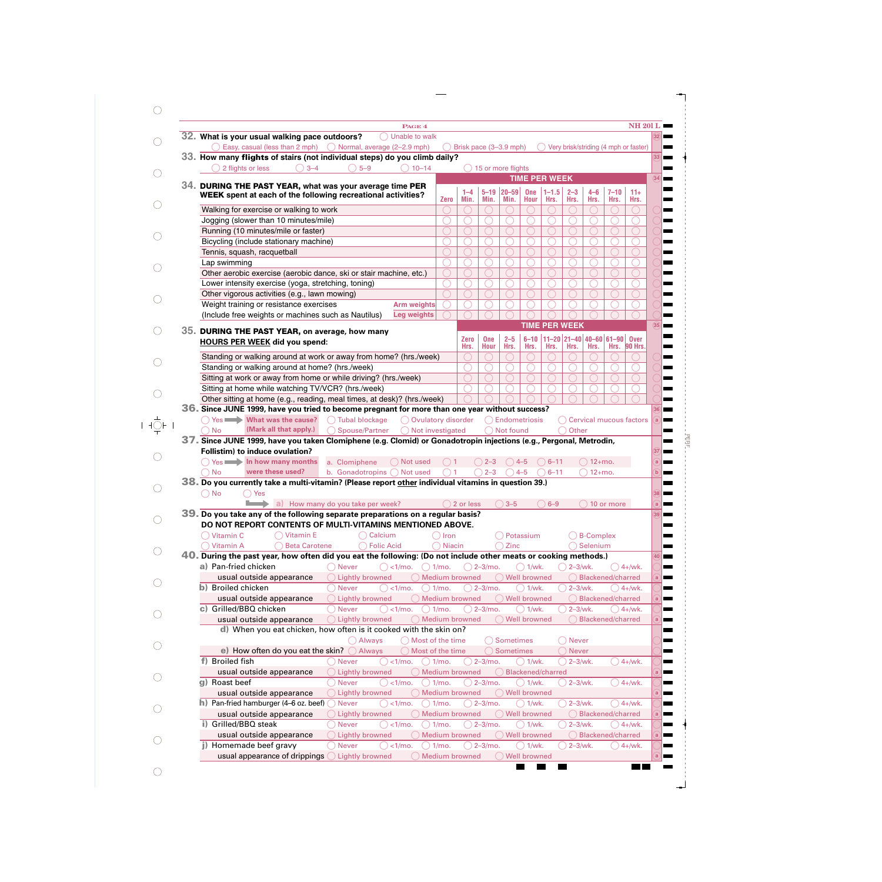| PAGE <sub>4</sub>                                                                                                                                                                                                                                                                                                                     |                       |                      |                    |                                  |                  |                      |                             |                                                           |                   | <b>NH 201 L</b>                                      |
|---------------------------------------------------------------------------------------------------------------------------------------------------------------------------------------------------------------------------------------------------------------------------------------------------------------------------------------|-----------------------|----------------------|--------------------|----------------------------------|------------------|----------------------|-----------------------------|-----------------------------------------------------------|-------------------|------------------------------------------------------|
| 32. What is your usual walking pace outdoors?<br>Unable to walk                                                                                                                                                                                                                                                                       |                       |                      |                    |                                  |                  |                      |                             |                                                           |                   |                                                      |
| $\bigcirc$ Easy, casual (less than 2 mph) $\bigcirc$ Normal, average (2–2.9 mph)                                                                                                                                                                                                                                                      |                       |                      |                    | Brisk pace (3-3.9 mph)           |                  |                      |                             | Very brisk/striding (4 mph or faster)                     |                   |                                                      |
| 33. How many flights of stairs (not individual steps) do you climb daily?                                                                                                                                                                                                                                                             |                       |                      |                    |                                  |                  |                      |                             |                                                           |                   |                                                      |
| $\bigcirc$ 5-9<br>2 flights or less<br>$() 3-4$<br>$\bigcirc$ 10-14                                                                                                                                                                                                                                                                   |                       |                      |                    | $\bigcirc$ 15 or more flights    |                  |                      |                             |                                                           |                   |                                                      |
| 34. DURING THE PAST YEAR, what was your average time PER                                                                                                                                                                                                                                                                              |                       |                      |                    |                                  |                  | <b>TIME PER WEEK</b> |                             |                                                           |                   |                                                      |
| WEEK spent at each of the following recreational activities?                                                                                                                                                                                                                                                                          |                       | $1 - 4$              | $5 - 19$           | $ 20 - 59 $                      | One              | $1 - 1.5$            | $2 - 3$                     | $4 - 6$                                                   | $7 - 10$          | $11+$                                                |
|                                                                                                                                                                                                                                                                                                                                       | <b>Zero</b>           | Min.                 | Min.               | Min.                             | <b>Hour</b>      | Hrs.                 | Hrs.                        | Hrs.                                                      | Hrs.              | Hrs.                                                 |
| Walking for exercise or walking to work                                                                                                                                                                                                                                                                                               |                       |                      |                    |                                  |                  |                      |                             |                                                           |                   |                                                      |
| Jogging (slower than 10 minutes/mile)                                                                                                                                                                                                                                                                                                 | ◠                     |                      |                    |                                  |                  |                      |                             |                                                           |                   |                                                      |
| Running (10 minutes/mile or faster)                                                                                                                                                                                                                                                                                                   |                       |                      |                    |                                  |                  |                      |                             |                                                           |                   |                                                      |
| Bicycling (include stationary machine)                                                                                                                                                                                                                                                                                                |                       |                      |                    |                                  |                  |                      |                             |                                                           |                   |                                                      |
| Tennis, squash, racquetball                                                                                                                                                                                                                                                                                                           | O                     |                      |                    |                                  |                  |                      |                             |                                                           |                   |                                                      |
| Lap swimming                                                                                                                                                                                                                                                                                                                          |                       |                      |                    |                                  |                  |                      |                             |                                                           |                   |                                                      |
| Other aerobic exercise (aerobic dance, ski or stair machine, etc.)                                                                                                                                                                                                                                                                    |                       |                      |                    |                                  |                  |                      | ∩                           |                                                           |                   |                                                      |
| Lower intensity exercise (yoga, stretching, toning)                                                                                                                                                                                                                                                                                   | ◯                     |                      |                    |                                  |                  |                      | ∩                           |                                                           |                   |                                                      |
| Other vigorous activities (e.g., lawn mowing)                                                                                                                                                                                                                                                                                         |                       |                      |                    |                                  |                  |                      |                             |                                                           |                   |                                                      |
| Weight training or resistance exercises<br>Arm weights                                                                                                                                                                                                                                                                                |                       |                      |                    |                                  |                  |                      |                             |                                                           |                   |                                                      |
| (Include free weights or machines such as Nautilus)<br><b>Leg weights</b>                                                                                                                                                                                                                                                             |                       |                      |                    |                                  |                  |                      |                             |                                                           |                   |                                                      |
|                                                                                                                                                                                                                                                                                                                                       |                       |                      |                    |                                  |                  | <b>TIME PER WEEK</b> |                             |                                                           |                   |                                                      |
| 35. DURING THE PAST YEAR, on average, how many                                                                                                                                                                                                                                                                                        |                       | <b>Zero</b>          | <b>One</b>         | $2 - 5$                          | $6 - 10$         |                      |                             | $11 - 20$   21-40   40-60   61-90                         |                   | <b>Over</b>                                          |
| <b>HOURS PER WEEK did you spend:</b>                                                                                                                                                                                                                                                                                                  |                       | Hrs.                 | <b>Hour</b>        | Hrs.                             | Hrs.             | Hrs.                 | Hrs.                        | Hrs.                                                      | Hrs.              | <b>90 Hrs.</b>                                       |
| Standing or walking around at work or away from home? (hrs./week)                                                                                                                                                                                                                                                                     |                       |                      |                    |                                  |                  |                      |                             |                                                           |                   |                                                      |
| Standing or walking around at home? (hrs./week)                                                                                                                                                                                                                                                                                       |                       |                      |                    |                                  |                  |                      |                             |                                                           |                   |                                                      |
| Sitting at work or away from home or while driving? (hrs./week)                                                                                                                                                                                                                                                                       |                       |                      |                    |                                  |                  |                      |                             |                                                           |                   |                                                      |
| Sitting at home while watching TV/VCR? (hrs./week)                                                                                                                                                                                                                                                                                    |                       |                      |                    |                                  |                  |                      |                             |                                                           |                   |                                                      |
| Other sitting at home (e.g., reading, meal times, at desk)? (hrs./week)                                                                                                                                                                                                                                                               |                       |                      |                    |                                  |                  |                      |                             |                                                           |                   |                                                      |
| 36. Since JUNE 1999, have you tried to become pregnant for more than one year without success?                                                                                                                                                                                                                                        |                       |                      |                    |                                  |                  |                      |                             |                                                           |                   |                                                      |
|                                                                                                                                                                                                                                                                                                                                       |                       |                      |                    |                                  |                  |                      |                             |                                                           |                   |                                                      |
| $\bigcirc$ Yes $\longrightarrow$ What was the cause?<br>◯ Tubal blockage<br>◯ Ovulatory disorder<br>(Mark all that apply.)<br>) No<br>○ Spouse/Partner<br>◯ Not investigated<br>37. Since JUNE 1999, have you taken Clomiphene (e.g. Clomid) or Gonadotropin injections (e.g., Pergonal, Metrodin,<br>Follistim) to induce ovulation? |                       |                      |                    | ◯ Endometriosis<br>( ) Not found |                  |                      | Other<br>◯                  | ◯ Cervical mucous factors                                 |                   |                                                      |
| Yes <b>In how many months</b><br>a. Clomiphene<br>$\bigcap$ Not used                                                                                                                                                                                                                                                                  | ()1                   |                      | $() 2 - 3$         | $()4-5$                          |                  | $6 - 11$             |                             | $\bigcirc$ 12+mo.                                         |                   |                                                      |
| were these used?<br>○ No<br>b. Gonadotropins $\bigcap$ Not used                                                                                                                                                                                                                                                                       | $\overline{1}$        |                      | $\big)$ 2–3        |                                  | $4 - 5$          | $6 - 11$             |                             | $12+mo.$<br>$\left( \begin{array}{c} \end{array} \right)$ |                   |                                                      |
| 38. Do you currently take a multi-vitamin? (Please report other individual vitamins in question 39.)                                                                                                                                                                                                                                  |                       |                      |                    |                                  |                  |                      |                             |                                                           |                   |                                                      |
| $\bigcirc$ No<br>( ) Yes                                                                                                                                                                                                                                                                                                              |                       |                      |                    |                                  |                  |                      |                             |                                                           |                   |                                                      |
| a) How many do you take per week?                                                                                                                                                                                                                                                                                                     |                       | $\bigcirc$ 2 or less |                    | $3 - 5$                          |                  | $6 - 9$              |                             |                                                           | 10 or more        |                                                      |
| 39. Do you take any of the following separate preparations on a regular basis?                                                                                                                                                                                                                                                        |                       |                      |                    |                                  |                  |                      |                             |                                                           |                   |                                                      |
| DO NOT REPORT CONTENTS OF MULTI-VITAMINS MENTIONED ABOVE.                                                                                                                                                                                                                                                                             |                       |                      |                    |                                  |                  |                      |                             |                                                           |                   |                                                      |
| $\bigcirc$ Vitamin C<br>◯ Vitamin E<br>◯ Calcium                                                                                                                                                                                                                                                                                      | ◯ Iron                |                      |                    |                                  | Potassium        |                      |                             | <b>B-Complex</b>                                          |                   |                                                      |
| <b>Beta Carotene</b><br>◯ Folic Acid<br>◯ Vitamin A                                                                                                                                                                                                                                                                                   | ◯ Niacin              |                      |                    | Zinc                             |                  |                      |                             | Selenium                                                  |                   |                                                      |
| 40. During the past year, how often did you eat the following: (Do not include other meats or cooking methods.)                                                                                                                                                                                                                       |                       |                      |                    |                                  |                  |                      |                             |                                                           |                   |                                                      |
| a) Pan-fried chicken<br>◯ Never<br>$\bigcirc$ <1/mo.                                                                                                                                                                                                                                                                                  | ()1/mo.               |                      | $\bigcirc$ 2–3/mo. |                                  | $\bigcirc$ 1/wk. |                      | $\bigcirc$ 2-3/wk.          |                                                           |                   |                                                      |
| ◯ Lightly browned<br>usual outside appearance                                                                                                                                                                                                                                                                                         | Medium browned        |                      |                    | O Well browned                   |                  |                      |                             | Blackened/charred                                         |                   |                                                      |
| b) Broiled chicken<br>◯ Never<br><1/mo.                                                                                                                                                                                                                                                                                               | $1/mO$ .              |                      | $2-3$ /mo.         |                                  | $\bigcirc$ 1/wk. |                      | $\bigcirc$ 2-3/wk.          |                                                           |                   |                                                      |
| usual outside appearance<br>◯ Lightly browned                                                                                                                                                                                                                                                                                         | Medium browned        |                      |                    | Well browned                     |                  |                      |                             | Blackened/charred                                         |                   |                                                      |
| c) Grilled/BBQ chicken<br>◯ Never<br><1/mo.                                                                                                                                                                                                                                                                                           | $1/mo$ .              |                      | $2-3$ /mo.         |                                  | $\bigcirc$ 1/wk. |                      | $\supset$ 2-3/wk.           |                                                           |                   |                                                      |
| usual outside appearance<br>◯ Lightly browned<br>O Medium browned                                                                                                                                                                                                                                                                     |                       |                      |                    | ◯ Well browned                   |                  |                      |                             | Blackened/charred                                         |                   |                                                      |
| d) When you eat chicken, how often is it cooked with the skin on?                                                                                                                                                                                                                                                                     |                       |                      |                    |                                  |                  |                      |                             |                                                           |                   |                                                      |
| ◯ Most of the time<br>◯ Always                                                                                                                                                                                                                                                                                                        |                       |                      |                    | Sometimes                        |                  |                      | <b>Never</b>                |                                                           |                   |                                                      |
| e) How often do you eat the skin?<br>$\bigcirc$ Always<br>O Most of the time                                                                                                                                                                                                                                                          |                       |                      |                    | Sometimes                        |                  |                      | $\bigcirc$ Never            |                                                           |                   |                                                      |
| f) Broiled fish<br>◯ Never<br>$\bigcirc$ <1/mo.                                                                                                                                                                                                                                                                                       | 1/mo.                 |                      | $2-3$ /mo.         |                                  | $\bigcirc$ 1/wk. |                      | $\bigcirc$ 2–3/wk.          |                                                           | $\bigcirc$ 4+/wk. |                                                      |
| usual outside appearance<br>◯ Lightly browned                                                                                                                                                                                                                                                                                         | Medium browned        |                      |                    |                                  |                  | Blackened/charred    |                             |                                                           |                   |                                                      |
| Roast beef<br>◯ Never<br>$<1/mo$ .                                                                                                                                                                                                                                                                                                    | 1/mo.                 |                      | $2-3$ /mo.         |                                  | ( ) 1/wk.        |                      | $2-3/wk$ .<br>$\rightarrow$ |                                                           | $\bigcirc$ 4+/wk. |                                                      |
| usual outside appearance<br>◯ Lightly browned                                                                                                                                                                                                                                                                                         | <b>Medium browned</b> |                      |                    | ◯ Well browned                   |                  |                      |                             |                                                           |                   | $4+$ /wk.<br>$4+$ /wk.<br>$4+$ /wk.                  |
| <b>h)</b> Pan-fried hamburger (4-6 oz. beef) $\bigcirc$ Never<br><1/mo.                                                                                                                                                                                                                                                               | 1/mo.                 |                      | $2-3$ /mo.         |                                  | ()1/wk.          |                      | $\bigcirc$ 2-3/wk.          |                                                           |                   | $\big)$ 4+/wk.                                       |
| ◯ Lightly browned                                                                                                                                                                                                                                                                                                                     | Medium browned        |                      |                    | Well browned                     |                  |                      |                             | Blackened/charred                                         |                   |                                                      |
| usual outside appearance<br>i) Grilled/BBQ steak<br>$\bigcirc$ Never<br>$<1/mo$ .                                                                                                                                                                                                                                                     | 〔        )1/mo.       |                      | $2-3$ /mo.         |                                  | ()1/wk.          |                      | $\bigcirc$ 2-3/wk.          |                                                           |                   |                                                      |
|                                                                                                                                                                                                                                                                                                                                       | <b>Medium browned</b> |                      |                    |                                  |                  |                      |                             |                                                           |                   |                                                      |
| usual outside appearance<br>◯ Lightly browned<br>Homemade beef gravy<br>$\bigcirc$ Never<br><1/mo.                                                                                                                                                                                                                                    | . ) 1/mo.             |                      | $\bigcirc$ 2–3/mo. | Well browned                     | ()1/wk.          |                      | ) $2 - 3$ /wk.              | Blackened/charred                                         |                   | $4+$ /wk.<br>$\left( \frac{1}{2} + \frac{1}{2}$ /wk. |

 $\overbrace{\hspace{25mm}}^{}$ 

PERF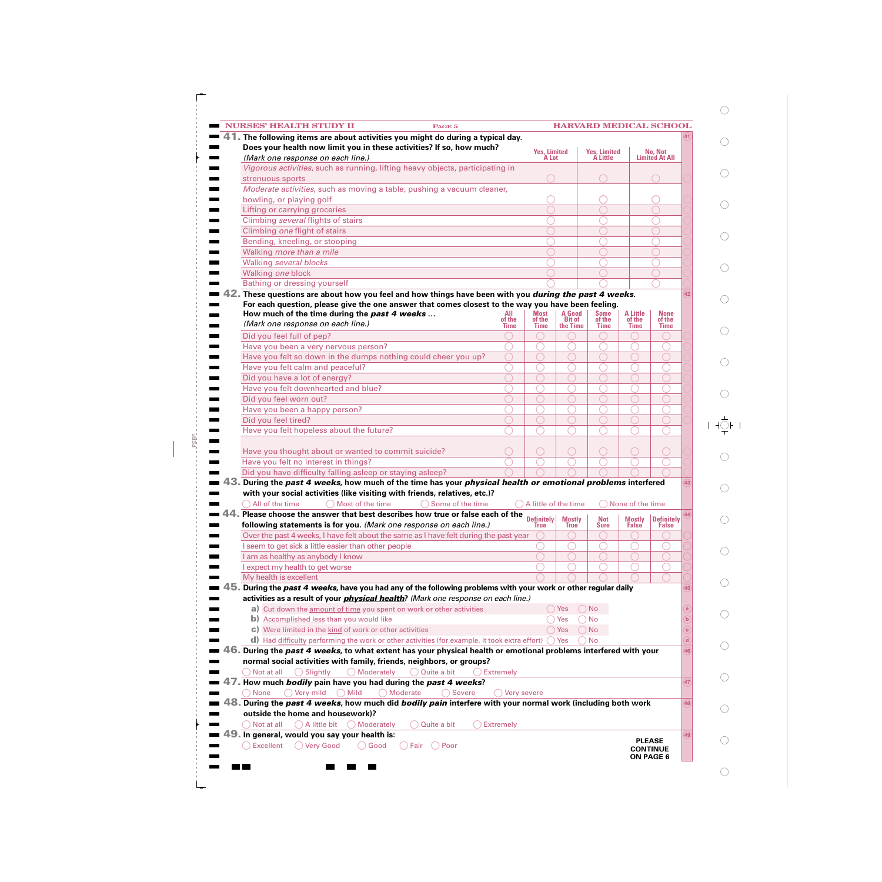| <b>NURSES' HEALTH STUDY II</b><br>PAGE 5                                                                                   |               |                               |                         | <b>HARVARD MEDICAL SCHOOL</b>    |                           |                                  |              |
|----------------------------------------------------------------------------------------------------------------------------|---------------|-------------------------------|-------------------------|----------------------------------|---------------------------|----------------------------------|--------------|
| 41. The following items are about activities you might do during a typical day.                                            |               |                               |                         |                                  |                           |                                  |              |
| Does your health now limit you in these activities? If so, how much?<br>(Mark one response on each line.)                  |               | <b>Yes, Limited<br/>A Lot</b> |                         | <b>Yes, Limited<br/>A Little</b> |                           | No, Not<br><b>Limited At All</b> |              |
| Vigorous activities, such as running, lifting heavy objects, participating in                                              |               |                               |                         |                                  |                           |                                  |              |
| strenuous sports                                                                                                           |               |                               |                         |                                  |                           |                                  |              |
| Moderate activities, such as moving a table, pushing a vacuum cleaner,                                                     |               |                               |                         |                                  |                           |                                  |              |
| bowling, or playing golf                                                                                                   |               |                               |                         |                                  |                           |                                  |              |
| Lifting or carrying groceries                                                                                              |               |                               |                         |                                  |                           |                                  |              |
| Climbing several flights of stairs                                                                                         |               |                               |                         |                                  |                           |                                  |              |
| Climbing one flight of stairs                                                                                              |               |                               |                         |                                  |                           |                                  |              |
| Bending, kneeling, or stooping                                                                                             |               |                               |                         |                                  |                           |                                  |              |
| Walking more than a mile                                                                                                   |               |                               |                         |                                  |                           |                                  |              |
| Walking several blocks                                                                                                     |               |                               |                         |                                  |                           |                                  |              |
| Walking one block                                                                                                          |               |                               |                         |                                  |                           |                                  |              |
| <b>Bathing or dressing yourself</b>                                                                                        |               |                               |                         |                                  |                           |                                  |              |
| 42. These questions are about how you feel and how things have been with you <i>during the past 4 weeks</i> .              |               |                               |                         |                                  |                           |                                  | 42           |
| For each question, please give the one answer that comes closest to the way you have been feeling.                         |               |                               |                         |                                  |                           |                                  |              |
| How much of the time during the past 4 weeks<br>(Mark one response on each line.)                                          | All<br>of the | <b>Most</b><br>of the         | A Good<br><b>Bit of</b> | <b>Some</b><br>of the            | <b>A Little</b><br>of the | <b>None</b><br>of the            |              |
|                                                                                                                            | <b>Time</b>   | <b>Time</b>                   | the Time                | <b>Time</b>                      | <b>Time</b>               | <b>Time</b>                      |              |
| Did you feel full of pep?                                                                                                  |               |                               |                         |                                  | O                         |                                  |              |
| Have you been a very nervous person?<br>Have you felt so down in the dumps nothing could cheer you up?                     | ∩             |                               | €                       |                                  | €                         |                                  |              |
| Have you felt calm and peaceful?                                                                                           |               |                               |                         |                                  | O                         |                                  |              |
| Did you have a lot of energy?                                                                                              |               |                               | ∩                       | ∩                                | ∩                         |                                  |              |
| Have you felt downhearted and blue?                                                                                        |               |                               |                         |                                  | O                         |                                  |              |
| Did you feel worn out?                                                                                                     |               |                               | ∩                       | ∩                                | €                         |                                  |              |
| Have you been a happy person?                                                                                              |               |                               | €                       | $(\ )$                           | O                         |                                  |              |
| Did you feel tired?                                                                                                        |               |                               | $\bigcirc$              | ∩                                | ∩                         |                                  |              |
| Have you felt hopeless about the future?                                                                                   |               |                               |                         |                                  |                           |                                  |              |
|                                                                                                                            |               |                               |                         |                                  |                           |                                  |              |
| Have you thought about or wanted to commit suicide?                                                                        |               | ○                             | ◯                       | O                                | ○                         |                                  |              |
| Have you felt no interest in things?                                                                                       |               |                               |                         |                                  | C                         |                                  |              |
| Did you have difficulty falling asleep or staying asleep?                                                                  |               |                               |                         |                                  |                           |                                  |              |
| $\blacksquare$ 43. During the past 4 weeks, how much of the time has your physical health or emotional problems interfered |               |                               |                         |                                  |                           |                                  | (43)         |
| with your social activities (like visiting with friends, relatives, etc.)?                                                 |               |                               |                         |                                  |                           |                                  |              |
| All of the time<br>Most of the time<br>Some of the time                                                                    |               | A little of the time          |                         |                                  | None of the time          |                                  |              |
| Please choose the answer that best describes how true or false each of the                                                 |               | <b>Definitely</b>             | <b>Mostly</b>           | <b>Not</b>                       | <b>Mostly</b>             | <b>Definitely</b>                |              |
| following statements is for you. (Mark one response on each line.)                                                         |               | True                          | <b>True</b>             | Sure                             | <b>False</b>              | <b>False</b>                     |              |
| Over the past 4 weeks, I have felt about the same as I have felt during the past year                                      |               |                               |                         |                                  | <sub>(</sub>              |                                  |              |
| I seem to get sick a little easier than other people                                                                       |               |                               |                         |                                  |                           |                                  |              |
| I am as healthy as anybody I know                                                                                          |               |                               |                         |                                  |                           |                                  |              |
| expect my health to get worse<br>My health is excellent                                                                    |               |                               |                         |                                  |                           |                                  |              |
| 45. During the <i>past 4 weeks,</i> have you had any of the following problems with your work or other regular daily       |               |                               |                         |                                  |                           |                                  | 45           |
| activities as a result of your <i>physical health</i> ? (Mark one response on each line.)                                  |               |                               |                         |                                  |                           |                                  |              |
| a) Cut down the amount of time you spent on work or other activities                                                       |               |                               | $\bigcirc$ Yes          | $\bigcirc$ No                    |                           |                                  |              |
| b) Accomplished less than you would like                                                                                   |               |                               | $\bigcirc$ Yes          | $\bigcirc$ No                    |                           |                                  | $\mathbf b$  |
| c) Were limited in the kind of work or other activities                                                                    |               |                               | $\bigcirc$ Yes          | $\bigcirc$ No                    |                           |                                  | $\mathbf{c}$ |
| <b>d</b> ) Had difficulty performing the work or other activities (for example, it took extra effort) $\bigcirc$ Yes       |               |                               |                         | <b>No</b>                        |                           |                                  | d            |
| 46. During the <i>past 4 weeks,</i> to what extent has your physical health or emotional problems interfered with your     |               |                               |                         |                                  |                           |                                  | 46           |
| normal social activities with family, friends, neighbors, or groups?                                                       |               |                               |                         |                                  |                           |                                  |              |
| $\bigcirc$ Slightly<br>$\bigcirc$ Moderately<br>$\bigcap$ Not at all<br>$\bigcirc$ Quite a bit                             | Extremely     |                               |                         |                                  |                           |                                  |              |
| 47. How much <i>bodily</i> pain have you had during the <i>past 4 weeks</i> ?                                              |               |                               |                         |                                  |                           |                                  | 47           |
| $\bigcirc$ Very mild $\bigcirc$ Mild<br>$\bigcirc$ Moderate<br>◯ None<br>◯ Severe                                          | Very severe   |                               |                         |                                  |                           |                                  |              |
| 48. During the <i>past 4 weeks,</i> how much did <i>bodily pain</i> interfere with your normal work (including both work   |               |                               |                         |                                  |                           |                                  | 48           |
| outside the home and housework)?                                                                                           |               |                               |                         |                                  |                           |                                  |              |
| $\bigcirc$ A little bit<br>Quite a bit                                                                                     | Extremely     |                               |                         |                                  |                           |                                  |              |
| $\bigcirc$ Not at all<br>◯ Moderately                                                                                      |               |                               |                         |                                  |                           |                                  |              |
| 49. In general, would you say your health is:                                                                              |               |                               |                         |                                  |                           |                                  | 49           |
| ◯ Very Good<br>◯ Excellent<br>$\bigcirc$ Good<br>() Fair () Poor                                                           |               |                               |                         |                                  |                           | <b>PLEASE</b><br><b>CONTINUE</b> |              |

PERF

 $\begin{array}{c} \hline \end{array}$